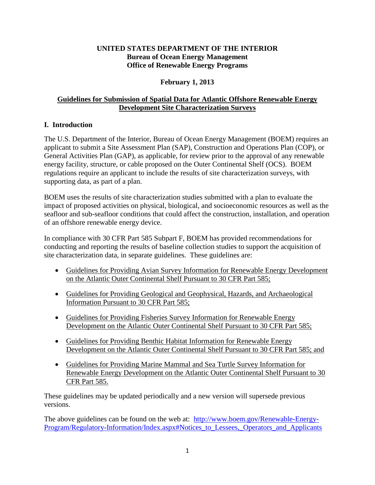### **UNITED STATES DEPARTMENT OF THE INTERIOR Bureau of Ocean Energy Management Office of Renewable Energy Programs**

## **February 1, 2013**

# **Guidelines for Submission of Spatial Data for Atlantic Offshore Renewable Energy Development Site Characterization Surveys**

# **I. Introduction**

The U.S. Department of the Interior, Bureau of Ocean Energy Management (BOEM) requires an applicant to submit a Site Assessment Plan (SAP), Construction and Operations Plan (COP), or General Activities Plan (GAP), as applicable, for review prior to the approval of any renewable energy facility, structure, or cable proposed on the Outer Continental Shelf (OCS). BOEM regulations require an applicant to include the results of site characterization surveys, with supporting data, as part of a plan.

BOEM uses the results of site characterization studies submitted with a plan to evaluate the impact of proposed activities on physical, biological, and socioeconomic resources as well as the seafloor and sub-seafloor conditions that could affect the construction, installation, and operation of an offshore renewable energy device.

In compliance with 30 CFR Part 585 Subpart F, BOEM has provided recommendations for conducting and reporting the results of baseline collection studies to support the acquisition of site characterization data, in separate guidelines. These guidelines are:

- Guidelines for Providing Avian Survey Information for Renewable Energy Development on the Atlantic Outer Continental Shelf Pursuant to 30 CFR Part 585;
- Guidelines for Providing Geological and Geophysical, Hazards, and Archaeological Information Pursuant to 30 CFR Part 585;
- Guidelines for Providing Fisheries Survey Information for Renewable Energy Development on the Atlantic Outer Continental Shelf Pursuant to 30 CFR Part 585;
- Guidelines for Providing Benthic Habitat Information for Renewable Energy Development on the Atlantic Outer Continental Shelf Pursuant to 30 CFR Part 585; and
- Guidelines for Providing Marine Mammal and Sea Turtle Survey Information for Renewable Energy Development on the Atlantic Outer Continental Shelf Pursuant to 30 CFR Part 585.

These guidelines may be updated periodically and a new version will supersede previous versions.

The above guidelines can be found on the web at: [http://www.boem.gov/Renewable-Energy-](http://www.boem.gov/Renewable-Energy-Program/Regulatory-Information/Index.aspx#Notices_to_Lessees,_Operators_and_Applicants)Program/Regulatory-Information/Index.aspx#Notices to Lessees, Operators and Applicants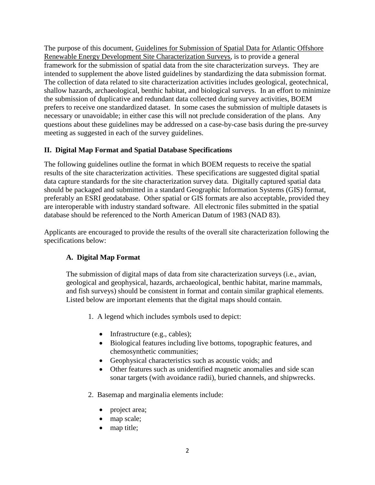The purpose of this document, Guidelines for Submission of Spatial Data for Atlantic Offshore Renewable Energy Development Site Characterization Surveys, is to provide a general framework for the submission of spatial data from the site characterization surveys. They are intended to supplement the above listed guidelines by standardizing the data submission format. The collection of data related to site characterization activities includes geological, geotechnical, shallow hazards, archaeological, benthic habitat, and biological surveys. In an effort to minimize the submission of duplicative and redundant data collected during survey activities, BOEM prefers to receive one standardized dataset. In some cases the submission of multiple datasets is necessary or unavoidable; in either case this will not preclude consideration of the plans. Any questions about these guidelines may be addressed on a case-by-case basis during the pre-survey meeting as suggested in each of the survey guidelines.

## **II. Digital Map Format and Spatial Database Specifications**

The following guidelines outline the format in which BOEM requests to receive the spatial results of the site characterization activities. These specifications are suggested digital spatial data capture standards for the site characterization survey data. Digitally captured spatial data should be packaged and submitted in a standard Geographic Information Systems (GIS) format, preferably an ESRI geodatabase. Other spatial or GIS formats are also acceptable, provided they are interoperable with industry standard software. All electronic files submitted in the spatial database should be referenced to the North American Datum of 1983 (NAD 83).

Applicants are encouraged to provide the results of the overall site characterization following the specifications below:

## **A. Digital Map Format**

The submission of digital maps of data from site characterization surveys (i.e., avian, geological and geophysical, hazards, archaeological, benthic habitat, marine mammals, and fish surveys) should be consistent in format and contain similar graphical elements. Listed below are important elements that the digital maps should contain.

- 1. A legend which includes symbols used to depict:
	- Infrastructure (e.g., cables);
	- Biological features including live bottoms, topographic features, and chemosynthetic communities;
	- Geophysical characteristics such as acoustic voids; and
	- Other features such as unidentified magnetic anomalies and side scan sonar targets (with avoidance radii), buried channels, and shipwrecks.
- 2. Basemap and marginalia elements include:
	- project area;
	- map scale;
	- map title;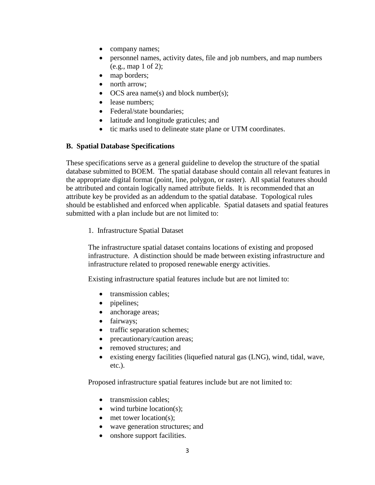- company names;
- personnel names, activity dates, file and job numbers, and map numbers (e.g., map 1 of 2);
- map borders;
- north arrow;
- OCS area name(s) and block number(s);
- lease numbers:
- Federal/state boundaries;
- latitude and longitude graticules; and
- tic marks used to delineate state plane or UTM coordinates.

#### **B. Spatial Database Specifications**

These specifications serve as a general guideline to develop the structure of the spatial database submitted to BOEM. The spatial database should contain all relevant features in the appropriate digital format (point, line, polygon, or raster). All spatial features should be attributed and contain logically named attribute fields. It is recommended that an attribute key be provided as an addendum to the spatial database. Topological rules should be established and enforced when applicable. Spatial datasets and spatial features submitted with a plan include but are not limited to:

1. Infrastructure Spatial Dataset

The infrastructure spatial dataset contains locations of existing and proposed infrastructure. A distinction should be made between existing infrastructure and infrastructure related to proposed renewable energy activities.

Existing infrastructure spatial features include but are not limited to:

- transmission cables:
- pipelines;
- anchorage areas;
- fairways;
- traffic separation schemes;
- precautionary/caution areas;
- removed structures; and
- existing energy facilities (liquefied natural gas (LNG), wind, tidal, wave, etc.).

Proposed infrastructure spatial features include but are not limited to:

- transmission cables:
- wind turbine location(s):
- met tower location(s);
- wave generation structures; and
- onshore support facilities.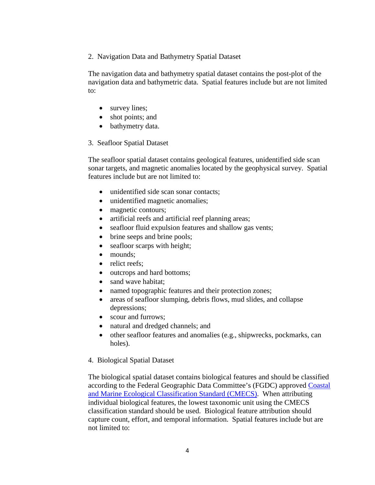2. Navigation Data and Bathymetry Spatial Dataset

The navigation data and bathymetry spatial dataset contains the post-plot of the navigation data and bathymetric data. Spatial features include but are not limited to:

- survey lines;
- shot points; and
- bathymetry data.

#### 3. Seafloor Spatial Dataset

The seafloor spatial dataset contains geological features, unidentified side scan sonar targets, and magnetic anomalies located by the geophysical survey. Spatial features include but are not limited to:

- unidentified side scan sonar contacts;
- unidentified magnetic anomalies;
- magnetic contours;
- artificial reefs and artificial reef planning areas;
- seafloor fluid expulsion features and shallow gas vents;
- brine seeps and brine pools;
- seafloor scarps with height;
- mounds:
- relict reefs:
- outcrops and hard bottoms;
- sand wave habitat:
- named topographic features and their protection zones;
- areas of seafloor slumping, debris flows, mud slides, and collapse depressions;
- scour and furrows;
- natural and dredged channels; and
- other seafloor features and anomalies (e.g., shipwrecks, pockmarks, can holes).

#### 4. Biological Spatial Dataset

The biological spatial dataset contains biological features and should be classified according to the Federal Geographic Data Committee's (FGDC) approved [Coastal](http://www.csc.noaa.gov/digitalcoast/_/pdf/CMECS_Version%20_4_Final_for_FGDC.pdf)  [and Marine Ecological Classification Standard \(CMECS\).](http://www.csc.noaa.gov/digitalcoast/_/pdf/CMECS_Version%20_4_Final_for_FGDC.pdf) When attributing individual biological features, the lowest taxonomic unit using the CMECS classification standard should be used. Biological feature attribution should capture count, effort, and temporal information. Spatial features include but are not limited to: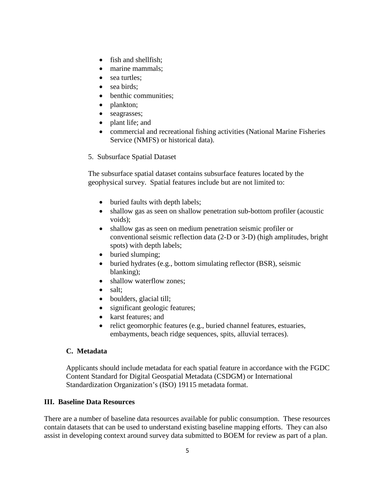- fish and shellfish:
- marine mammals;
- sea turtles;
- sea birds:
- benthic communities;
- plankton;
- seagrasses;
- plant life; and
- commercial and recreational fishing activities (National Marine Fisheries Service (NMFS) or historical data).
- 5. Subsurface Spatial Dataset

The subsurface spatial dataset contains subsurface features located by the geophysical survey. Spatial features include but are not limited to:

- buried faults with depth labels;
- shallow gas as seen on shallow penetration sub-bottom profiler (acoustic voids);
- shallow gas as seen on medium penetration seismic profiler or conventional seismic reflection data (2-D or 3-D) (high amplitudes, bright spots) with depth labels;
- buried slumping;
- buried hydrates (e.g., bottom simulating reflector (BSR), seismic blanking);
- shallow waterflow zones:
- salt:
- boulders, glacial till;
- significant geologic features;
- karst features; and
- relict geomorphic features (e.g., buried channel features, estuaries, embayments, beach ridge sequences, spits, alluvial terraces).

## **C. Metadata**

Applicants should include metadata for each spatial feature in accordance with the FGDC Content Standard for Digital Geospatial Metadata (CSDGM) or International Standardization Organization's (ISO) 19115 metadata format.

## **III. Baseline Data Resources**

There are a number of baseline data resources available for public consumption. These resources contain datasets that can be used to understand existing baseline mapping efforts. They can also assist in developing context around survey data submitted to BOEM for review as part of a plan.